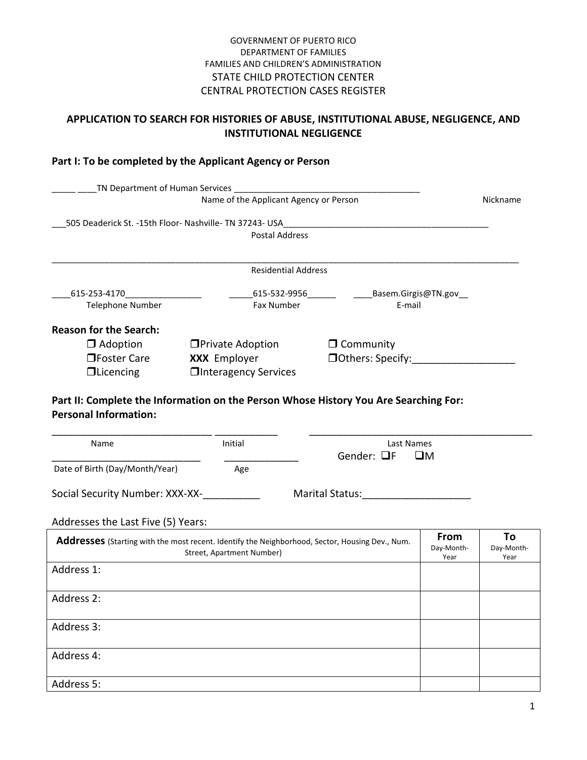## GOVERNMENT OF PUERTO RICO DEPARTMENT OF FAMILIES FAMILIES AND CHILDREN'S ADMINISTRATION STATE CHILD PROTECTION CENTER CENTRAL PROTECTION CASES REGISTER

## **APPLICATION TO SEARCH FOR HISTORIES OF ABUSE, INSTITUTIONAL ABUSE, NEGLIGENCE, AND INSTITUTIONAL NEGLIGENCE**

## **Part I: To be completed by the Applicant Agency or Person**

|                                                                                                                      | Name of the Applicant Agency or Person                                                                                       |                                                      |                            | Nickname                 |
|----------------------------------------------------------------------------------------------------------------------|------------------------------------------------------------------------------------------------------------------------------|------------------------------------------------------|----------------------------|--------------------------|
|                                                                                                                      |                                                                                                                              |                                                      |                            |                          |
|                                                                                                                      | _505 Deaderick St. -15th Floor- Nashville- TN 37243- USA_________________________                                            |                                                      |                            |                          |
|                                                                                                                      | <b>Postal Address</b>                                                                                                        |                                                      |                            |                          |
|                                                                                                                      | <b>Residential Address</b>                                                                                                   |                                                      |                            |                          |
| 615-253-4170__________________                                                                                       |                                                                                                                              | 615-532-9956 Basem.Girgis@TN.gov                     |                            |                          |
| <b>Telephone Number</b>                                                                                              | <b>Fax Number</b>                                                                                                            |                                                      | E-mail                     |                          |
| <b>Reason for the Search:</b>                                                                                        |                                                                                                                              |                                                      |                            |                          |
| $\Box$ Adoption                                                                                                      | □ Private Adoption                                                                                                           | $\Box$ Community                                     |                            |                          |
| □Foster Care                                                                                                         | XXX Employer                                                                                                                 | $\Box$ Others: Specify:                              |                            |                          |
| $\Box$ Licencing                                                                                                     | <b>Onteragency Services</b>                                                                                                  |                                                      |                            |                          |
|                                                                                                                      |                                                                                                                              |                                                      |                            |                          |
| Part II: Complete the Information on the Person Whose History You Are Searching For:<br><b>Personal Information:</b> |                                                                                                                              |                                                      |                            |                          |
|                                                                                                                      |                                                                                                                              |                                                      |                            |                          |
| Name                                                                                                                 | Initial<br>Last Names<br>Gender: $\Box F$<br>Oм                                                                              |                                                      |                            |                          |
| Date of Birth (Day/Month/Year)                                                                                       | Age                                                                                                                          |                                                      |                            |                          |
| Social Security Number: XXX-XX-                                                                                      |                                                                                                                              | Marital Status: National State of the Marital States |                            |                          |
| Addresses the Last Five (5) Years:                                                                                   |                                                                                                                              |                                                      |                            |                          |
|                                                                                                                      | Addresses (Starting with the most recent. Identify the Neighborhood, Sector, Housing Dev., Num.<br>Street, Apartment Number) |                                                      | From<br>Day-Month-<br>Year | To<br>Day-Month-<br>Year |
| Address 1:                                                                                                           |                                                                                                                              |                                                      |                            |                          |
| Address 2:                                                                                                           |                                                                                                                              |                                                      |                            |                          |
| Address 3:                                                                                                           |                                                                                                                              |                                                      |                            |                          |
| Address 4:                                                                                                           |                                                                                                                              |                                                      |                            |                          |
| Address 5:                                                                                                           |                                                                                                                              |                                                      |                            |                          |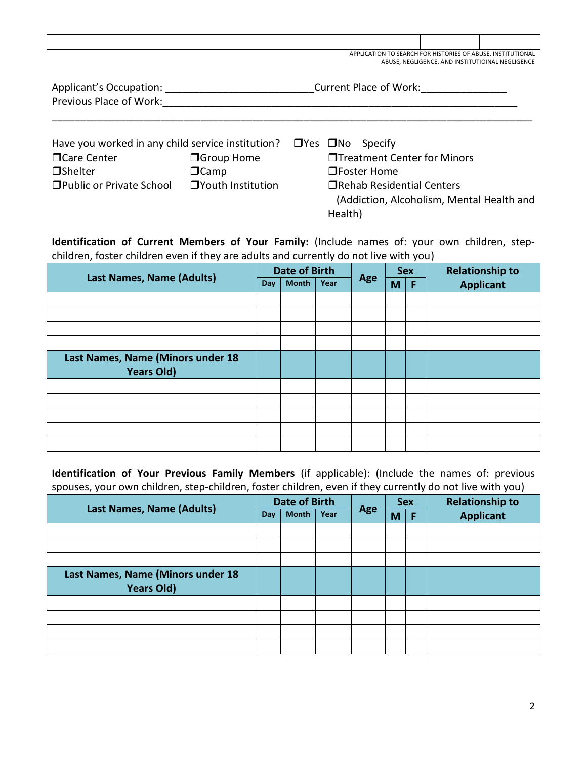| APPLICATION TO SEARCH FOR HISTORIES OF ABUSE, INSTITUTIONAL |                                                  |  |
|-------------------------------------------------------------|--------------------------------------------------|--|
|                                                             | ABUSE. NEGLIGENCE. AND INSTITUTIOINAL NEGLIGENCE |  |

| Applicant's Occupation: | Current Place of Work: |
|-------------------------|------------------------|
| Previous Place of Work: |                        |
|                         |                        |

| Have you worked in any child service institution? $\Box$ Yes $\Box$ No Specify |                     |                                    |
|--------------------------------------------------------------------------------|---------------------|------------------------------------|
| □ Care Center                                                                  | □ Group Home        | <b>Theatment Center for Minors</b> |
| □Shelter                                                                       | $\Box$ Camp         | □Foster Home                       |
| □ Public or Private School                                                     | □ Youth Institution | □Rehab Residential Centers         |

(Addiction, Alcoholism, Mental Health and Health)

**Identification of Current Members of Your Family:** (Include names of: your own children, stepchildren, foster children even if they are adults and currently do not live with you)

|                                   | <b>Date of Birth</b> |              |      | <b>Sex</b> |   | <b>Relationship to</b> |                  |
|-----------------------------------|----------------------|--------------|------|------------|---|------------------------|------------------|
| Last Names, Name (Adults)         | Day                  | <b>Month</b> | Year | Age        | M | F                      | <b>Applicant</b> |
|                                   |                      |              |      |            |   |                        |                  |
|                                   |                      |              |      |            |   |                        |                  |
|                                   |                      |              |      |            |   |                        |                  |
|                                   |                      |              |      |            |   |                        |                  |
| Last Names, Name (Minors under 18 |                      |              |      |            |   |                        |                  |
| <b>Years Old)</b>                 |                      |              |      |            |   |                        |                  |
|                                   |                      |              |      |            |   |                        |                  |
|                                   |                      |              |      |            |   |                        |                  |
|                                   |                      |              |      |            |   |                        |                  |
|                                   |                      |              |      |            |   |                        |                  |
|                                   |                      |              |      |            |   |                        |                  |

**Identification of Your Previous Family Members** (if applicable): (Include the names of: previous spouses, your own children, step-children, foster children, even if they currently do not live with you)

|                                   | <b>Date of Birth</b> |              |      | <b>Sex</b> |   | <b>Relationship to</b> |                  |
|-----------------------------------|----------------------|--------------|------|------------|---|------------------------|------------------|
| <b>Last Names, Name (Adults)</b>  |                      | <b>Month</b> | Year | Age        | M | F                      | <b>Applicant</b> |
|                                   |                      |              |      |            |   |                        |                  |
|                                   |                      |              |      |            |   |                        |                  |
|                                   |                      |              |      |            |   |                        |                  |
| Last Names, Name (Minors under 18 |                      |              |      |            |   |                        |                  |
| <b>Years Old)</b>                 |                      |              |      |            |   |                        |                  |
|                                   |                      |              |      |            |   |                        |                  |
|                                   |                      |              |      |            |   |                        |                  |
|                                   |                      |              |      |            |   |                        |                  |
|                                   |                      |              |      |            |   |                        |                  |